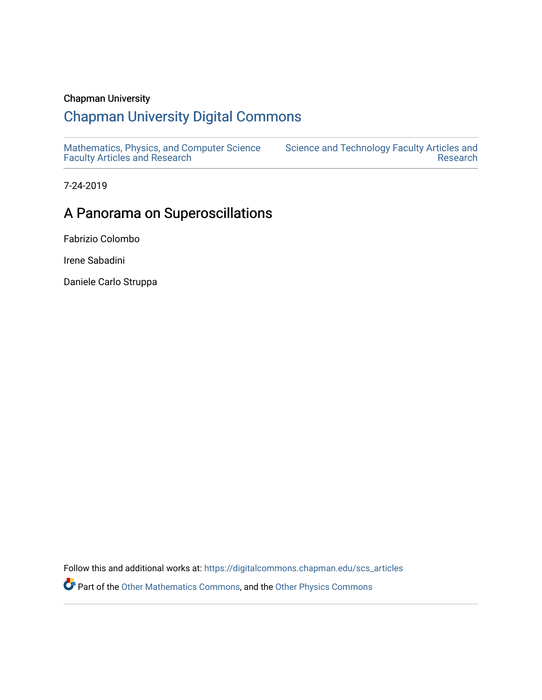### Chapman University

# [Chapman University Digital Commons](https://digitalcommons.chapman.edu/)

[Mathematics, Physics, and Computer Science](https://digitalcommons.chapman.edu/scs_articles)  [Faculty Articles and Research](https://digitalcommons.chapman.edu/scs_articles)

[Science and Technology Faculty Articles and](https://digitalcommons.chapman.edu/science_articles)  [Research](https://digitalcommons.chapman.edu/science_articles) 

7-24-2019

## A Panorama on Superoscillations

Fabrizio Colombo

Irene Sabadini

Daniele Carlo Struppa

Follow this and additional works at: [https://digitalcommons.chapman.edu/scs\\_articles](https://digitalcommons.chapman.edu/scs_articles?utm_source=digitalcommons.chapman.edu%2Fscs_articles%2F781&utm_medium=PDF&utm_campaign=PDFCoverPages)  **Part of the [Other Mathematics Commons](http://network.bepress.com/hgg/discipline/185?utm_source=digitalcommons.chapman.edu%2Fscs_articles%2F781&utm_medium=PDF&utm_campaign=PDFCoverPages), and the [Other Physics Commons](http://network.bepress.com/hgg/discipline/207?utm_source=digitalcommons.chapman.edu%2Fscs_articles%2F781&utm_medium=PDF&utm_campaign=PDFCoverPages)**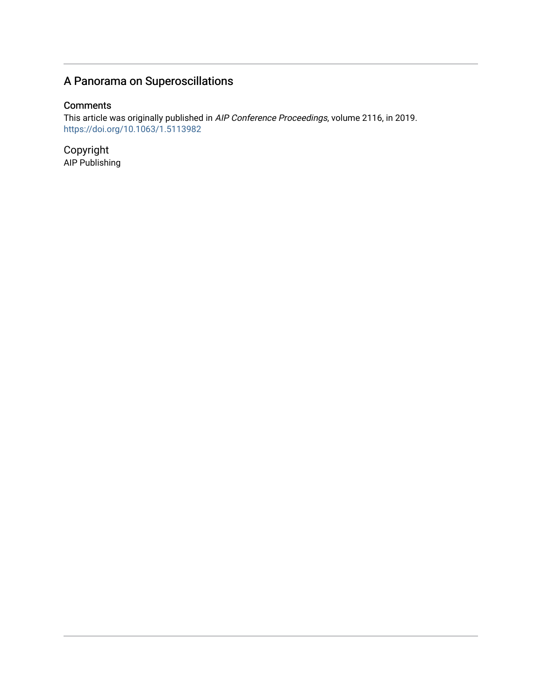# A Panorama on Superoscillations

### **Comments**

This article was originally published in *AIP Conference Proceedings*, volume 2116, in 2019. <https://doi.org/10.1063/1.5113982>

Copyright AIP Publishing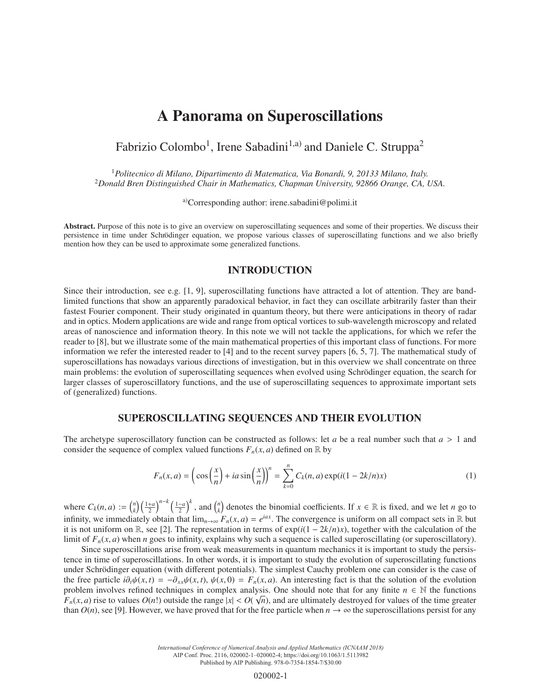## A Panorama on Superoscillations

### Fabrizio Colombo<sup>1</sup>, Irene Sabadini<sup>1,a)</sup> and Daniele C. Struppa<sup>2</sup>

<sup>1</sup>*Politecnico di Milano, Dipartimento di Matematica, Via Bonardi, 9, 20133 Milano, Italy.* <sup>2</sup>*Donald Bren Distinguished Chair in Mathematics, Chapman University, 92866 Orange, CA, USA.*

a)Corresponding author: irene.sabadini@polimi.it

Abstract. Purpose of this note is to give an overview on superoscillating sequences and some of their properties. We discuss their persistence in time under Schrödinger equation, we propose various classes of superoscillating functions and we also briefly mention how they can be used to approximate some generalized functions.

#### INTRODUCTION

Since their introduction, see e.g. [1, 9], superoscillating functions have attracted a lot of attention. They are bandlimited functions that show an apparently paradoxical behavior, in fact they can oscillate arbitrarily faster than their fastest Fourier component. Their study originated in quantum theory, but there were anticipations in theory of radar and in optics. Modern applications are wide and range from optical vortices to sub-wavelength microscopy and related areas of nanoscience and information theory. In this note we will not tackle the applications, for which we refer the reader to [8], but we illustrate some of the main mathematical properties of this important class of functions. For more information we refer the interested reader to [4] and to the recent survey papers [6, 5, 7]. The mathematical study of superoscillations has nowadays various directions of investigation, but in this overview we shall concentrate on three main problems: the evolution of superoscillating sequences when evolved using Schrödinger equation, the search for larger classes of superoscillatory functions, and the use of superoscillating sequences to approximate important sets of (generalized) functions.

#### SUPEROSCILLATING SEQUENCES AND THEIR EVOLUTION

The archetype superoscillatory function can be constructed as follows: let *a* be a real number such that *a* > 1 and consider the sequence of complex valued functions  $F_n(x, a)$  defined on R by

$$
F_n(x,a) = \left(\cos\left(\frac{x}{n}\right) + ia\sin\left(\frac{x}{n}\right)\right)^n = \sum_{k=0}^n C_k(n,a)\exp(i(1-2k/n)x)
$$
 (1)

where  $C_k(n, a) := {n \choose k} \left(\frac{1+a}{2}\right)^{n-k} \left(\frac{1-a}{2}\right)^k$ , and  ${n \choose k}$  denotes the binomial coefficients. If  $x \in \mathbb{R}$  is fixed, and we let n go to infinity, we immediately obtain that  $\lim_{n\to\infty} F_n(x, a) = e^{iax}$ . The convergence is uniform on all compact sets in R but it is not uniform on R, see [2]. The representation in terms of  $exp(i(1 - 2k/n)x)$ , together with the calculation of the limit of  $F_n(x, a)$  when *n* goes to infinity, explains why such a sequence is called superoscillating (or superoscillatory).

Since superoscillations arise from weak measurements in quantum mechanics it is important to study the persistence in time of superoscillations. In other words, it is important to study the evolution of superoscillating functions under Schrödinger equation (with different potentials). The simplest Cauchy problem one can consider is the case of the free particle  $i\partial_t\psi(x,t) = -\partial_{xx}\psi(x,t)$ ,  $\psi(x,0) = F_n(x,a)$ . An interesting fact is that the solution of the evolution problem involves refined techniques in complex analysis. One should note that for any finite  $n \in \mathbb{N}$  the functions  $F_n(x, a)$  rise to values  $O(n!)$  outside the range  $|x| < O(\sqrt{n})$ , and are ultimately destroyed for values of the time greater than  $O(n)$ , see [9]. However, we have proved that for the free particle when  $n \to \infty$  the superoscillations persist for any

> *International Conference of Numerical Analysis and Applied Mathematics (ICNAAM 2018)* AIP Conf. Proc. 2116, 020002-1–020002-4; https://doi.org/10.1063/1.5113982 Published by AIP Publishing. 978-0-7354-1854-7/\$30.00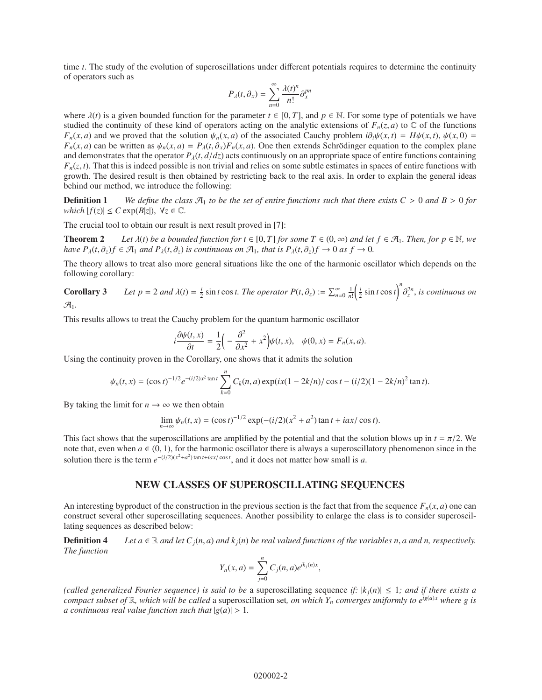time *t*. The study of the evolution of superoscillations under different potentials requires to determine the continuity of operators such as

$$
P_{\lambda}(t,\partial_{x})=\sum_{n=0}^{\infty}\frac{\lambda(t)^{n}}{n!}\partial_{x}^{pn}
$$

where  $\lambda(t)$  is a given bounded function for the parameter  $t \in [0, T]$ , and  $p \in \mathbb{N}$ . For some type of potentials we have studied the continuity of these kind of operators acting on the analytic extensions of  $F_n(z, a)$  to  $\mathbb C$  of the functions *F<sub>n</sub>*(*x*, *a*) and we proved that the solution  $\psi_n(x, a)$  of the associated Cauchy problem  $i\partial_t\psi(x, t) = H\psi(x, t)$ ,  $\psi(x, 0) =$  $F_n(x, a)$  can be written as  $\psi_n(x, a) = P_\lambda(t, \partial_x) F_n(x, a)$ . One then extends Schrödinger equation to the complex plane and demonstrates that the operator  $P_{\lambda}(t, d/dz)$  acts continuously on an appropriate space of entire functions containing  $F_n(z, t)$ . That this is indeed possible is non trivial and relies on some subtle estimates in spaces of entire functions with growth. The desired result is then obtained by restricting back to the real axis. In order to explain the general ideas behind our method, we introduce the following:

**Definition 1** *We define the class*  $\mathcal{A}_1$  *to be the set of entire functions such that there exists*  $C > 0$  *and*  $B > 0$  *for which*  $|f(z)|$  ≤ *C* exp(*B*|*z*|),  $\forall z \in \mathbb{C}$ .

The crucial tool to obtain our result is next result proved in [7]:

**Theorem 2** Let  $\lambda(t)$  be a bounded function for  $t \in [0, T]$  for some  $T \in (0, \infty)$  and let  $f \in \mathcal{A}_1$ . Then, for  $p \in \mathbb{N}$ , we *have*  $P_{\lambda}(t, \partial_z)f \in \mathcal{A}_1$  *and*  $P_{\lambda}(t, \partial_z)$  *is continuous on*  $\mathcal{A}_1$ *, that is*  $P_{\lambda}(t, \partial_z)f \to 0$  *as*  $f \to 0$ *.* 

The theory allows to treat also more general situations like the one of the harmonic oscillator which depends on the following corollary:

**Corollary 3** Let  $p = 2$  and  $\lambda(t) = \frac{i}{2} \sin t \cos t$ . The operator  $P(t, \partial_z) := \sum_{n=0}^{\infty} \frac{1}{n!} \left( \frac{i}{2} \sin t \cos t \right)^n \frac{\partial^2 n}{\partial z^n}$ , is continuous on A1*.*

This results allows to treat the Cauchy problem for the quantum harmonic oscillator

$$
i\frac{\partial\psi(t,x)}{\partial t}=\frac{1}{2}\left(-\frac{\partial^2}{\partial x^2}+x^2\right)\psi(t,x),\quad\psi(0,x)=F_n(x,a).
$$

Using the continuity proven in the Corollary, one shows that it admits the solution

$$
\psi_n(t,x) = (\cos t)^{-1/2} e^{-(i/2)x^2 \tan t} \sum_{k=0}^n C_k(n,a) \exp(ix(1-2k/n)/\cos t - (i/2)(1-2k/n)^2 \tan t).
$$

By taking the limit for  $n \to \infty$  we then obtain

$$
\lim_{n \to \infty} \psi_n(t, x) = (\cos t)^{-1/2} \exp(-(i/2)(x^2 + a^2) \tan t + iax/\cos t).
$$

This fact shows that the superoscillations are amplified by the potential and that the solution blows up in  $t = \pi/2$ . We note that, even when  $a \in (0, 1)$ , for the harmonic oscillator there is always a superoscillatory phenomenon since in the solution there is the term  $e^{-(i/2)(x^2+a^2)\tan t + iax/\cos t}$ , and it does not matter how small is *a*.

#### NEW CLASSES OF SUPEROSCILLATING SEQUENCES

An interesting byproduct of the construction in the previous section is the fact that from the sequence  $F_n(x, a)$  one can construct several other superoscillating sequences. Another possibility to enlarge the class is to consider superoscillating sequences as described below:

**Definition 4** Let  $a \in \mathbb{R}$  and let  $C_i(n, a)$  and  $k_i(n)$  be real valued functions of the variables n, a and n, respectively. *The function*

$$
Y_n(x, a) = \sum_{j=0}^n C_j(n, a)e^{ik_j(n)x},
$$

*(called generalized Fourier sequence) is said to be a superoscillating sequence if:*  $|k_i(n)| \leq 1$ *; and if there exists a compact subset of*  $\mathbb{R}$ *, which will be called* a superoscillation set, *on which*  $Y_n$  *converges uniformly to e*<sup>*ig(a)x</sup> where g is*</sup> *a continuous real value function such that*  $|g(a)| > 1$ .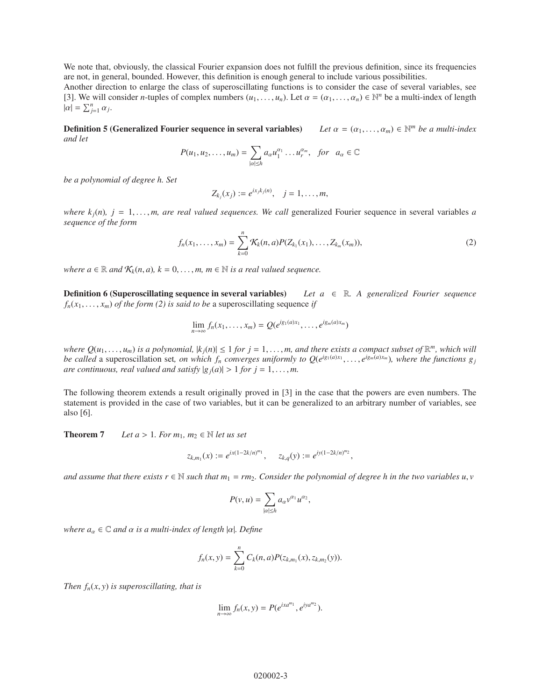We note that, obviously, the classical Fourier expansion does not fulfill the previous definition, since its frequencies are not, in general, bounded. However, this definition is enough general to include various possibilities.

Another direction to enlarge the class of superoscillating functions is to consider the case of several variables, see [3]. We will consider *n*-tuples of complex numbers  $(u_1, \ldots, u_n)$ . Let  $\alpha = (\alpha_1, \ldots, \alpha_n) \in \mathbb{N}^n$  be a multi-index of length  $|\alpha| = \sum_{j=1}^n \alpha_j$ .

**Definition 5 (Generalized Fourier sequence in several variables)** Let  $\alpha = (\alpha_1, \dots, \alpha_m) \in \mathbb{N}^m$  be a multi-index *and let*

$$
P(u_1, u_2, \dots, u_m) = \sum_{|\alpha| \leq h} a_{\alpha} u_1^{\alpha_1} \dots u_r^{\alpha_m}, \text{ for } a_{\alpha} \in \mathbb{C}
$$

*be a polynomial of degree h. Set*

$$
Z_{k_j}(x_j) := e^{ix_j k_j(n)}, \quad j = 1, \dots, m,
$$

*where*  $k_i(n)$ ,  $j = 1, \ldots, m$ , are real valued sequences. We call generalized Fourier sequence in several variables *a sequence of the form*

$$
f_n(x_1,\ldots,x_m)=\sum_{k=0}^n \mathcal{K}_k(n,a)P(Z_{k_1}(x_1),\ldots,Z_{k_m}(x_m)),
$$
\n(2)

*where*  $a \in \mathbb{R}$  *and*  $\mathcal{K}_k(n, a)$ *,*  $k = 0, \ldots, m$ *,*  $m \in \mathbb{N}$  *is a real valued sequence.* 

**Definition 6 (Superoscillating sequence in several variables)** Let  $a \in \mathbb{R}$ . A generalized Fourier sequence  $f_n(x_1, \ldots, x_m)$  *of the form (2) is said to be* a superoscillating sequence *if* 

$$
\lim_{n\to\infty} f_n(x_1,\ldots,x_m) = Q(e^{ig_1(a)x_1},\ldots,e^{ig_m(a)x_m})
$$

*where*  $Q(u_1, \ldots, u_m)$  *is a polynomial,*  $|k_i(n)| \leq 1$  *for*  $j = 1, \ldots, m$ *, and there exists a compact subset of*  $\mathbb{R}^m$ *, which will be called* a superoscillation set, on which  $f_n$  converges uniformly to  $Q(e^{ig_1(a)x_1}, \ldots, e^{ig_m(a)x_m})$ , where the functions  $g_i$ *are continuous, real valued and satisfy*  $|g_j(a)| > 1$  *for*  $j = 1, \ldots, m$ .

The following theorem extends a result originally proved in [3] in the case that the powers are even numbers. The statement is provided in the case of two variables, but it can be generalized to an arbitrary number of variables, see also [6].

**Theorem 7** *Let a* > 1*. For*  $m_1$ *,*  $m_2 \in \mathbb{N}$  *let us set* 

$$
z_{k,m_1}(x) := e^{ix(1-2k/n)^m 1}, \quad z_{k,q}(y) := e^{iy(1-2k/n)^m 2},
$$

and assume that there exists  $r \in \mathbb{N}$  such that  $m_1 = rm_2$ . Consider the polynomial of degree h in the two variables  $u, v$ 

$$
P(v, u) = \sum_{|\alpha| \le h} a_{\alpha} v^{\alpha_1} u^{\alpha_2},
$$

*where*  $a_{\alpha} \in \mathbb{C}$  *and*  $\alpha$  *is a multi-index of length*  $|\alpha|$ *. Define* 

$$
f_n(x, y) = \sum_{k=0}^n C_k(n, a) P(z_{k,m_1}(x), z_{k,m_2}(y)).
$$

*Then*  $f_n(x, y)$  *is superoscillating, that is* 

$$
\lim_{n\to\infty}f_n(x,y)=P(e^{ixa^{m_1}},e^{iya^{m_2}}).
$$